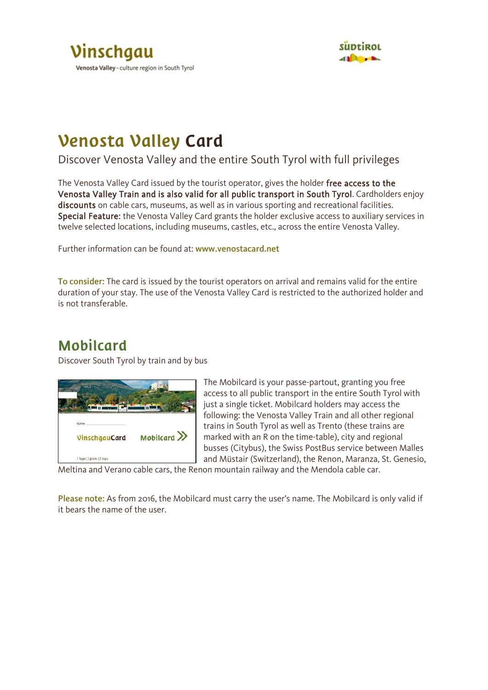



## Venosta Valley Card

Discover Venosta Valley and the entire South Tyrol with full privileges

The Venosta Valley Card issued by the tourist operator, gives the holder free access to the Venosta Valley Train and is also valid for all public transport in South Tyrol. Cardholders enjoy discounts on cable cars, museums, as well as in various sporting and recreational facilities. Special Feature: the Venosta Valley Card grants the holder exclusive access to auxiliary services in twelve selected locations, including museums, castles, etc., across the entire Venosta Valley.

Further information can be found at: www.venostacard.net

To consider: The card is issued by the tourist operators on arrival and remains valid for the entire duration of your stay. The use of the Venosta Valley Card is restricted to the authorized holder and is not transferable.

### Mobilcard

Discover South Tyrol by train and by bus



The Mobilcard is your passe-partout, granting you free access to all public transport in the entire South Tyrol with just a single ticket. Mobilcard holders may access the following: the Venosta Valley Train and all other regional trains in South Tyrol as well as Trento (these trains are marked with an R on the time-table), city and regional busses (Citybus), the Swiss PostBus service between Malles and Müstair (Switzerland), the Renon, Maranza, St. Genesio,

Meltina and Verano cable cars, the Renon mountain railway and the Mendola cable car.

Please note: As from 2016, the Mobilcard must carry the user's name. The Mobilcard is only valid if it bears the name of the user.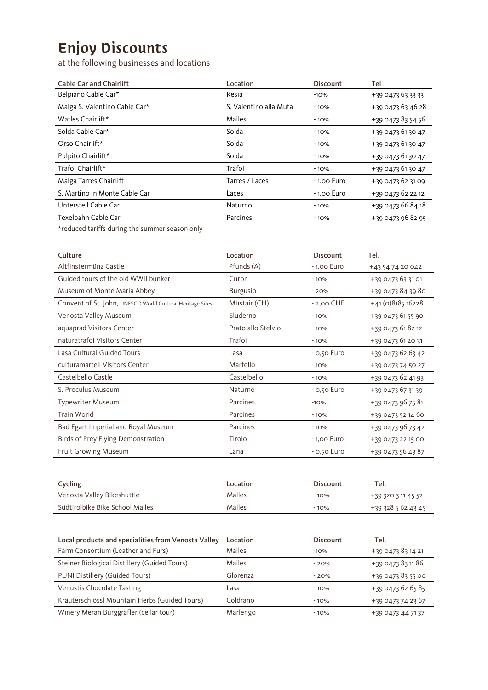## Enjoy Discounts

at the following businesses and locations

| <b>Cable Car and Chairlift</b>                                                                                                                                   | Location               | <b>Discount</b> | Tel               |
|------------------------------------------------------------------------------------------------------------------------------------------------------------------|------------------------|-----------------|-------------------|
| Belpiano Cable Car*                                                                                                                                              | Resia                  | $-10%$          | +39 0473 63 33 33 |
| Malga S. Valentino Cable Car*                                                                                                                                    | S. Valentino alla Muta | $-10%$          | +39 0473 63 46 28 |
| Watles Chairlift*                                                                                                                                                | Malles                 | $-10%$          | +39 0473 83 54 56 |
| Solda Cable Car*                                                                                                                                                 | Solda                  | $-10%$          | +39 0473 61 30 47 |
| Orso Chairlift*                                                                                                                                                  | Solda                  | $-10%$          | +39 0473 61 30 47 |
| Pulpito Chairlift*                                                                                                                                               | Solda                  | $-10%$          | +39 0473 61 30 47 |
| Trafoi Chairlift*                                                                                                                                                | Trafoi                 | $-10%$          | +39 0473 61 30 47 |
| Malga Tarres Chairlift                                                                                                                                           | Tarres / Laces         | - 1.00 Euro     | +39 0473 62 31 09 |
| S. Martino in Monte Cable Car                                                                                                                                    | Laces                  | - 1,00 Euro     | +39 0473 62 22 12 |
| Unterstell Cable Car                                                                                                                                             | Naturno                | - 10%           | +39 0473 66 84 18 |
| Texelbahn Cable Car                                                                                                                                              | Parcines               | - 10%           | +39 0473 96 82 95 |
| $\mathbf{u} = \mathbf{1}$ , $\mathbf{1}$ , $\mathbf{1}$ , $\mathbf{1}$ , $\mathbf{1}$ , $\mathbf{1}$ , $\mathbf{1}$ , $\mathbf{1}$ , $\mathbf{1}$ , $\mathbf{1}$ |                        |                 |                   |

\*reduced tariffs during the summer season only

| Culture                                                   | Location           | <b>Discount</b> | Tel.              |
|-----------------------------------------------------------|--------------------|-----------------|-------------------|
| Altfinstermünz Castle                                     | Pfunds (A)         | $-1.00$ Euro    | +43 54 74 20 042  |
| Guided tours of the old WWII bunker                       | Curon              | $-10%$          | +39 0473 63 31 01 |
| Museum of Monte Maria Abbey                               | <b>Burgusio</b>    | $-20%$          | +39 0473 84 39 80 |
| Convent of St. John, UNESCO World Cultural Heritage Sites | Müstair (CH)       | $-2,00$ CHF     | $+41(0)818516228$ |
| Venosta Valley Museum                                     | Sluderno           | $-10%$          | +39 0473 61 55 90 |
| aquaprad Visitors Center                                  | Prato allo Stelvio | $-10%$          | +39 0473 61 82 12 |
| naturatrafoi Visitors Center                              | Trafoi             | $-10%$          | +39 0473 61 20 31 |
| Lasa Cultural Guided Tours                                | Lasa               | - 0,50 Euro     | +39 0473 62 63 42 |
| culturamartell Visitors Center                            | Martello           | $-10%$          | +39 0473 74 50 27 |
| Castelbello Castle                                        | Castelbello        | $-10%$          | +39 0473 62 41 93 |
| S. Proculus Museum                                        | Naturno            | $-$ 0,50 Euro   | +39 0473 67 31 39 |
| <b>Typewriter Museum</b>                                  | Parcines           | $-10%$          | +39 0473 96 75 81 |
| Train World                                               | Parcines           | $-10%$          | +39 0473 52 14 60 |
| Bad Egart Imperial and Royal Museum                       | Parcines           | $-10%$          | +39 0473 96 73 42 |
| Birds of Prey Flying Demonstration                        | Tirolo             | - 1,00 Euro     | +39 0473 22 15 00 |
| <b>Fruit Growing Museum</b>                               | Lana               | $-$ 0,50 Euro   | +39 0473 56 43 87 |

| Cycling                         | Location | <b>Discount</b> | Tel.               |
|---------------------------------|----------|-----------------|--------------------|
| Venosta Valley Bikeshuttle      | Malles   | $-10%$          | +39 320 3 11 45 52 |
| Südtirolbike Bike School Malles | Malles   | $-10%$          | +39 328 5 62 43 45 |

| Local products and specialities from Venosta Valley | Location | <b>Discount</b> | Tel.              |
|-----------------------------------------------------|----------|-----------------|-------------------|
| Farm Consortium (Leather and Furs)                  | Malles   | $-10%$          | +39 0473 83 14 21 |
| Steiner Biological Distillery (Guided Tours)        | Malles   | $-20%$          | +39 0473 83 11 86 |
| PUNI Distillery (Guided Tours)                      | Glorenza | $-20%$          | +39 0473 83 55 00 |
| Venustis Chocolate Tasting                          | Lasa     | $-10%$          | +39 0473 62 65 85 |
| Kräuterschlössl Mountain Herbs (Guided Tours)       | Coldrano | $-10%$          | +39 0473 74 23 67 |
| Winery Meran Burggräfler (cellar tour)              | Marlengo | $-10%$          | +39 0473 44 71 37 |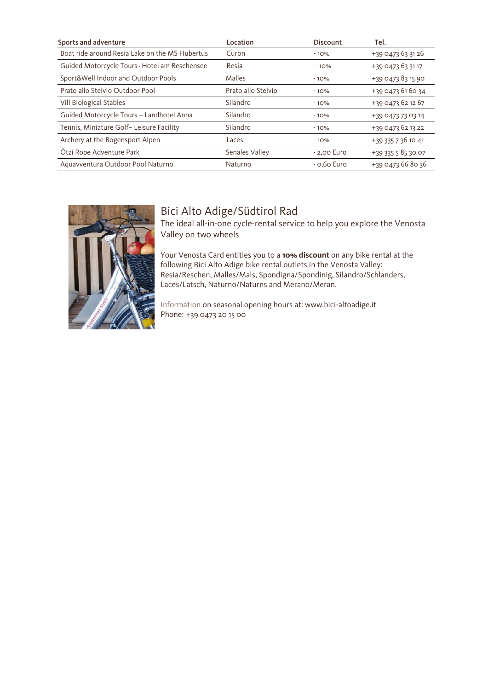| Sports and adventure                           | Location           | <b>Discount</b> | Tel.               |
|------------------------------------------------|--------------------|-----------------|--------------------|
| Boat ride around Resia Lake on the MS Hubertus | Curon              | $-10%$          | +39 0473 63 31 26  |
| Guided Motorcycle Tours - Hotel am Reschensee  | Resia              | $-10%$          | +39 0473 63 31 17  |
| Sport&Well Indoor and Outdoor Pools            | Malles             | $-10%$          | +39 0473 83 15 90  |
| Prato allo Stelvio Outdoor Pool                | Prato allo Stelvio | $-10%$          | +39 0473 61 60 34  |
| Vill Biological Stables                        | Silandro           | $-10%$          | +39 0473 62 12 67  |
| Guided Motorcycle Tours - Landhotel Anna       | Silandro           | $-10%$          | +39 0473 73 03 14  |
| Tennis, Miniature Golf- Leisure Facility       | Silandro           | $-10%$          | +39 0473 62 13 22  |
| Archery at the Bogensport Alpen                | Laces              | $-10%$          | +39 335 7 36 10 41 |
| Ötzi Rope Adventure Park                       | Senales Valley     | $-2,00$ Euro    | +39 335 5 85 30 07 |
| Aguavventura Outdoor Pool Naturno              | Naturno            | $-$ 0,60 Euro   | +39 0473 66 80 36  |



### Bici Alto Adige/Südtirol Rad

The ideal all-in-one cycle-rental service to help you explore the Venosta Valley on two wheels

Your Venosta Card entitles you to a **10% discount** on any bike rental at the following Bici Alto Adige bike rental outlets in the Venosta Valley: Resia/Reschen, Malles/Mals, Spondigna/Spondinig, Silandro/Schlanders, Laces/Latsch, Naturno/Naturns and Merano/Meran.

Information on seasonal opening hours at: www.bici-altoadige.it Phone: +39 0473 20 15 00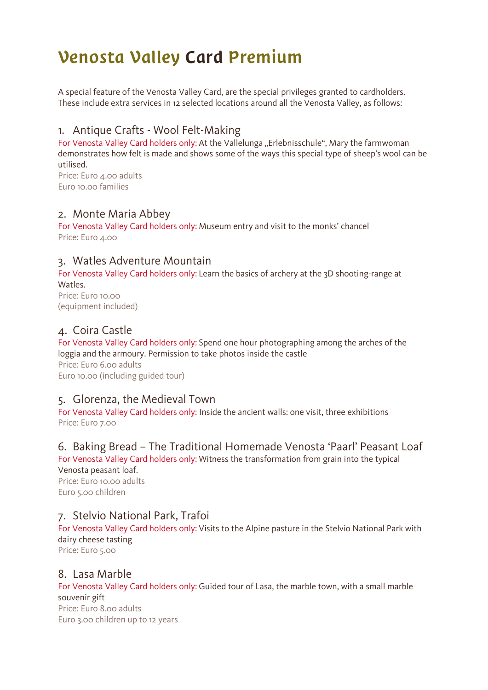# Venosta Valley Card Premium

A special feature of the Venosta Valley Card, are the special privileges granted to cardholders. These include extra services in 12 selected locations around all the Venosta Valley, as follows:

### 1. Antique Crafts - Wool Felt-Making

For Venosta Valley Card holders only: At the Vallelunga "Erlebnisschule", Mary the farmwoman demonstrates how felt is made and shows some of the ways this special type of sheep's wool can be utilised.

Price: Euro 4.00 adults Euro 10.00 families

### 2. Monte Maria Abbey

For Venosta Valley Card holders only: Museum entry and visit to the monks' chancel Price: Euro 4.00

### 3. Watles Adventure Mountain

For Venosta Valley Card holders only: Learn the basics of archery at the 3D shooting-range at Watles. Price: Euro 10.00

(equipment included)

### 4. Coira Castle

For Venosta Valley Card holders only: Spend one hour photographing among the arches of the loggia and the armoury. Permission to take photos inside the castle Price: Euro 6.00 adults Euro 10.00 (including guided tour)

### 5. Glorenza, the Medieval Town

For Venosta Valley Card holders only: Inside the ancient walls: one visit, three exhibitions Price: Euro 7.00

## 6. Baking Bread – The Traditional Homemade Venosta 'Paarl' Peasant Loaf

For Venosta Valley Card holders only: Witness the transformation from grain into the typical Venosta peasant loaf.

Price: Euro 10.00 adults Euro 5.00 children

### 7. Stelvio National Park, Trafoi

For Venosta Valley Card holders only: Visits to the Alpine pasture in the Stelvio National Park with dairy cheese tasting

Price: Euro 5.00

### 8. Lasa Marble

For Venosta Valley Card holders only: Guided tour of Lasa, the marble town, with a small marble souvenir gift Price: Euro 8.00 adults Euro 3.00 children up to 12 years